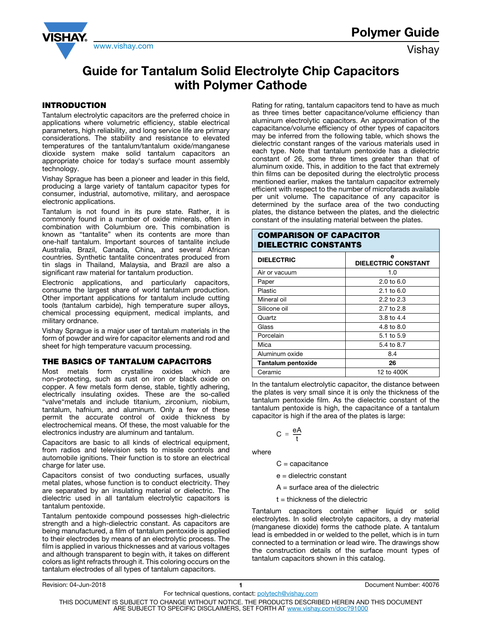

# Guide for Tantalum Solid Electrolyte Chip Capacitors with Polymer Cathode

## INTRODUCTION

Tantalum electrolytic capacitors are the preferred choice in applications where volumetric efficiency, stable electrical parameters, high reliability, and long service life are primary considerations. The stability and resistance to elevated temperatures of the tantalum/tantalum oxide/manganese dioxide system make solid tantalum capacitors an appropriate choice for today's surface mount assembly technology.

Vishay Sprague has been a pioneer and leader in this field, producing a large variety of tantalum capacitor types for consumer, industrial, automotive, military, and aerospace electronic applications.

Tantalum is not found in its pure state. Rather, it is commonly found in a number of oxide minerals, often in combination with Columbium ore. This combination is known as "tantalite" when its contents are more than one-half tantalum. Important sources of tantalite include Australia, Brazil, Canada, China, and several African countries. Synthetic tantalite concentrates produced from tin slags in Thailand, Malaysia, and Brazil are also a significant raw material for tantalum production.

Electronic applications, and particularly capacitors, consume the largest share of world tantalum production. Other important applications for tantalum include cutting tools (tantalum carbide), high temperature super alloys, chemical processing equipment, medical implants, and military ordnance.

Vishay Sprague is a major user of tantalum materials in the form of powder and wire for capacitor elements and rod and sheet for high temperature vacuum processing.

## THE BASICS OF TANTALUM CAPACITORS

Most metals form crystalline oxides which are non-protecting, such as rust on iron or black oxide on copper. A few metals form dense, stable, tightly adhering, electrically insulating oxides. These are the so-called "valve"metals and include titanium, zirconium, niobium, tantalum, hafnium, and aluminum. Only a few of these permit the accurate control of oxide thickness by electrochemical means. Of these, the most valuable for the electronics industry are aluminum and tantalum.

Capacitors are basic to all kinds of electrical equipment, from radios and television sets to missile controls and automobile ignitions. Their function is to store an electrical charge for later use.

Capacitors consist of two conducting surfaces, usually metal plates, whose function is to conduct electricity. They are separated by an insulating material or dielectric. The dielectric used in all tantalum electrolytic capacitors is tantalum pentoxide.

Tantalum pentoxide compound possesses high-dielectric strength and a high-dielectric constant. As capacitors are being manufactured, a film of tantalum pentoxide is applied to their electrodes by means of an electrolytic process. The film is applied in various thicknesses and at various voltages and although transparent to begin with, it takes on different colors as light refracts through it. This coloring occurs on the tantalum electrodes of all types of tantalum capacitors.

Rating for rating, tantalum capacitors tend to have as much as three times better capacitance/volume efficiency than aluminum electrolytic capacitors. An approximation of the capacitance/volume efficiency of other types of capacitors may be inferred from the following table, which shows the dielectric constant ranges of the various materials used in each type. Note that tantalum pentoxide has a dielectric constant of 26, some three times greater than that of aluminum oxide. This, in addition to the fact that extremely thin films can be deposited during the electrolytic process mentioned earlier, makes the tantalum capacitor extremely efficient with respect to the number of microfarads available per unit volume. The capacitance of any capacitor is determined by the surface area of the two conducting plates, the distance between the plates, and the dielectric constant of the insulating material between the plates.

| <b>COMPARISON OF CAPACITOR</b><br><b>DIELECTRIC CONSTANTS</b> |                                 |  |  |
|---------------------------------------------------------------|---------------------------------|--|--|
| <b>DIELECTRIC</b>                                             | е<br><b>DIELECTRIC CONSTANT</b> |  |  |
| Air or vacuum                                                 | 1.0                             |  |  |
| Paper                                                         | $2.0 \text{ to } 6.0$           |  |  |
| Plastic                                                       | $2.1 \text{ to } 6.0$           |  |  |
| Mineral oil                                                   | 2.2 to $2.3$                    |  |  |
| Silicone oil                                                  | 2.7 to 2.8                      |  |  |
| Quartz                                                        | 3.8 to 4.4                      |  |  |
| Glass                                                         | 4.8 to 8.0                      |  |  |
| Porcelain                                                     | 5.1 to 5.9                      |  |  |
| Mica                                                          | 5.4 to 8.7                      |  |  |
| Aluminum oxide                                                | 8.4                             |  |  |
| Tantalum pentoxide                                            | 26                              |  |  |
| Ceramic                                                       | 12 to 400K                      |  |  |

In the tantalum electrolytic capacitor, the distance between the plates is very small since it is only the thickness of the tantalum pentoxide film. As the dielectric constant of the tantalum pentoxide is high, the capacitance of a tantalum capacitor is high if the area of the plates is large:

$$
C = \frac{eA}{t}
$$

where

 $C =$  capacitance

e = dielectric constant

 $A =$  surface area of the dielectric

 $t =$  thickness of the dielectric

Tantalum capacitors contain either liquid or solid electrolytes. In solid electrolyte capacitors, a dry material (manganese dioxide) forms the cathode plate. A tantalum lead is embedded in or welded to the pellet, which is in turn connected to a termination or lead wire. The drawings show the construction details of the surface mount types of tantalum capacitors shown in this catalog.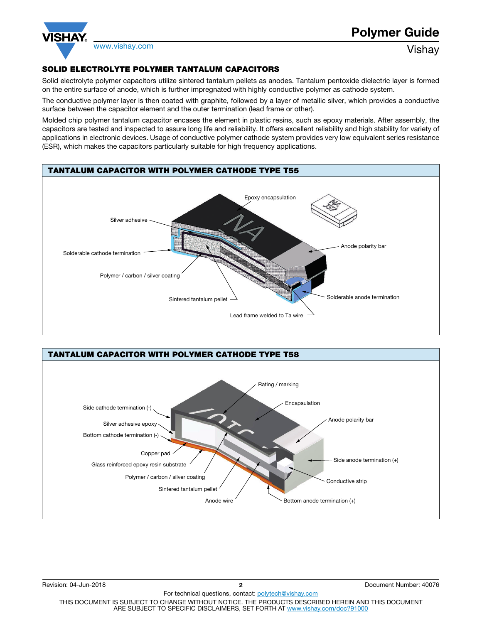

# SOLID ELECTROLYTE POLYMER TANTALUM CAPACITORS

Solid electrolyte polymer capacitors utilize sintered tantalum pellets as anodes. Tantalum pentoxide dielectric layer is formed on the entire surface of anode, which is further impregnated with highly conductive polymer as cathode system.

The conductive polymer layer is then coated with graphite, followed by a layer of metallic silver, which provides a conductive surface between the capacitor element and the outer termination (lead frame or other).

Molded chip polymer tantalum capacitor encases the element in plastic resins, such as epoxy materials. After assembly, the capacitors are tested and inspected to assure long life and reliability. It offers excellent reliability and high stability for variety of applications in electronic devices. Usage of conductive polymer cathode system provides very low equivalent series resistance (ESR), which makes the capacitors particularly suitable for high frequency applications.



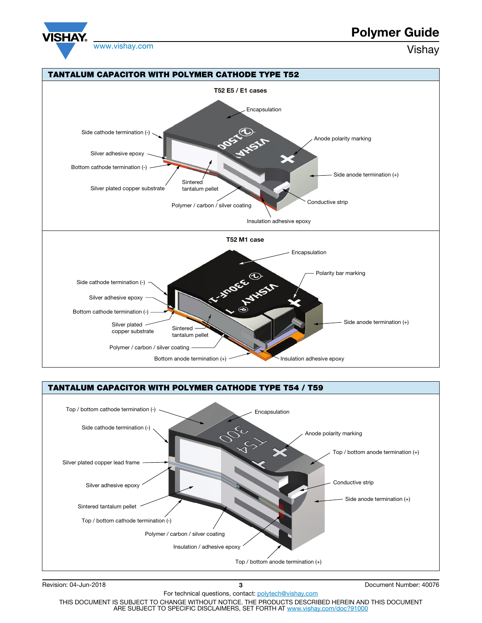

# Polymer Guide





Revision: 04-Jun-2018 3 Document Number: 40076

THIS DOCUMENT IS SUBJECT TO CHANGE WITHOUT NOTICE. THE PRODUCTS DESCRIBED HEREIN AND THIS DOCUMENT ARE SUBJECT TO SPECIFIC DISCLAIMERS, SET FORTH AT www.vishay.com/doc?91000

For technical questions, contact: polytech@vishay.com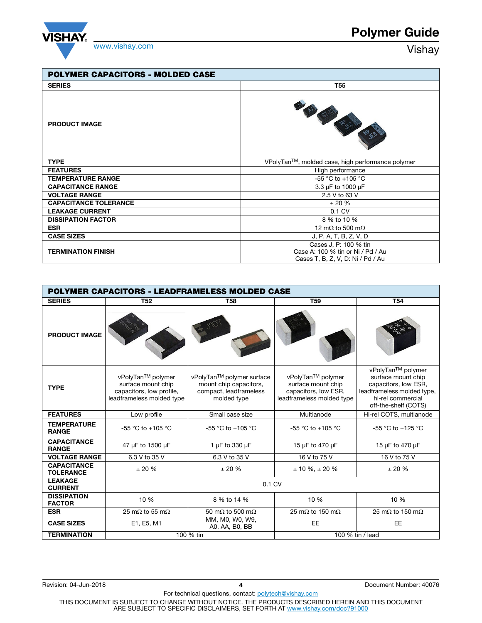

| <b>POLYMER CAPACITORS - MOLDED CASE</b> |                                                                                                 |  |  |
|-----------------------------------------|-------------------------------------------------------------------------------------------------|--|--|
| <b>SERIES</b>                           | T55                                                                                             |  |  |
| <b>PRODUCT IMAGE</b>                    |                                                                                                 |  |  |
| <b>TYPE</b>                             | VPolyTan™, molded case, high performance polymer                                                |  |  |
| <b>FEATURES</b>                         | High performance                                                                                |  |  |
| <b>TEMPERATURE RANGE</b>                | $-55 °C$ to $+105 °C$                                                                           |  |  |
| <b>CAPACITANCE RANGE</b>                | 3.3 µF to 1000 µF                                                                               |  |  |
| <b>VOLTAGE RANGE</b>                    | 2.5 V to 63 V                                                                                   |  |  |
| <b>CAPACITANCE TOLERANCE</b>            | ± 20%                                                                                           |  |  |
| <b>LEAKAGE CURRENT</b>                  | $0.1 \text{ C}V$                                                                                |  |  |
| <b>DISSIPATION FACTOR</b>               | 8 % to 10 %                                                                                     |  |  |
| <b>ESR</b>                              | 12 m $\Omega$ to 500 m $\Omega$                                                                 |  |  |
| <b>CASE SIZES</b>                       | J, P, A, T, B, Z, V, D                                                                          |  |  |
| <b>TERMINATION FINISH</b>               | Cases J, P: 100 % tin<br>Case A: 100 % tin or Ni / Pd / Au<br>Cases T, B, Z, V, D: Ni / Pd / Au |  |  |

|                                        | <b>POLYMER CAPACITORS - LEADFRAMELESS MOLDED CASE</b>                                            |                                                                                              |                                                                                              |                                                                                                                                            |  |
|----------------------------------------|--------------------------------------------------------------------------------------------------|----------------------------------------------------------------------------------------------|----------------------------------------------------------------------------------------------|--------------------------------------------------------------------------------------------------------------------------------------------|--|
| <b>SERIES</b>                          | <b>T52</b>                                                                                       | <b>T58</b>                                                                                   | <b>T59</b>                                                                                   | <b>T54</b>                                                                                                                                 |  |
| <b>PRODUCT IMAGE</b>                   |                                                                                                  |                                                                                              |                                                                                              |                                                                                                                                            |  |
| <b>TYPE</b>                            | vPolyTan™ polymer<br>surface mount chip<br>capacitors, low profile,<br>leadframeless molded type | vPolyTan™ polymer surface<br>mount chip capacitors,<br>compact, leadframeless<br>molded type | vPolyTan™ polymer<br>surface mount chip<br>capacitors, low ESR,<br>leadframeless molded type | vPolyTan™ polymer<br>surface mount chip<br>capacitors, low ESR,<br>leadframeless molded type,<br>hi-rel commercial<br>off-the-shelf (COTS) |  |
| <b>FEATURES</b>                        | Low profile                                                                                      | Small case size                                                                              | Multianode                                                                                   | Hi-rel COTS, multianode                                                                                                                    |  |
| <b>TEMPERATURE</b><br><b>RANGE</b>     | -55 °C to +105 °C                                                                                | $-55 °C$ to $+105 °C$                                                                        | $-55$ °C to $+105$ °C                                                                        | -55 °C to +125 °C                                                                                                                          |  |
| <b>CAPACITANCE</b><br><b>RANGE</b>     | 47 µF to 1500 µF                                                                                 | 1 µF to 330 µF                                                                               | 15 µF to 470 µF                                                                              | 15 µF to 470 µF                                                                                                                            |  |
| <b>VOLTAGE RANGE</b>                   | 6.3 V to 35 V                                                                                    | 6.3 V to 35 V                                                                                | 16 V to 75 V                                                                                 | 16 V to 75 V                                                                                                                               |  |
| <b>CAPACITANCE</b><br><b>TOLERANCE</b> | ± 20%                                                                                            | ± 20%                                                                                        | $± 10 \%$ , $± 20 \%$                                                                        | ± 20%                                                                                                                                      |  |
| <b>LEAKAGE</b><br><b>CURRENT</b>       | 0.1 CV                                                                                           |                                                                                              |                                                                                              |                                                                                                                                            |  |
| <b>DISSIPATION</b><br><b>FACTOR</b>    | 10 %                                                                                             | 8 % to 14 %                                                                                  | 10 %                                                                                         | 10 %                                                                                                                                       |  |
| <b>ESR</b>                             | 25 m $\Omega$ to 55 m $\Omega$                                                                   | 50 m $\Omega$ to 500 m $\Omega$                                                              | 25 m $\Omega$ to 150 m $\Omega$                                                              | 25 m $\Omega$ to 150 m $\Omega$                                                                                                            |  |
| <b>CASE SIZES</b>                      | E1, E5, M1                                                                                       | MM, M0, W0, W9,<br>A0, AA, B0, BB                                                            | <b>EE</b>                                                                                    | <b>EE</b>                                                                                                                                  |  |
| <b>TERMINATION</b>                     |                                                                                                  | 100 % tin                                                                                    |                                                                                              | 100 % tin / lead                                                                                                                           |  |

THIS DOCUMENT IS SUBJECT TO CHANGE WITHOUT NOTICE. THE PRODUCTS DESCRIBED HEREIN AND THIS DOCUMENT<br>ARE SUBJECT TO SPECIFIC DISCLAIMERS, SET FORTH AT <u>www.vishay.com/doc?91000</u>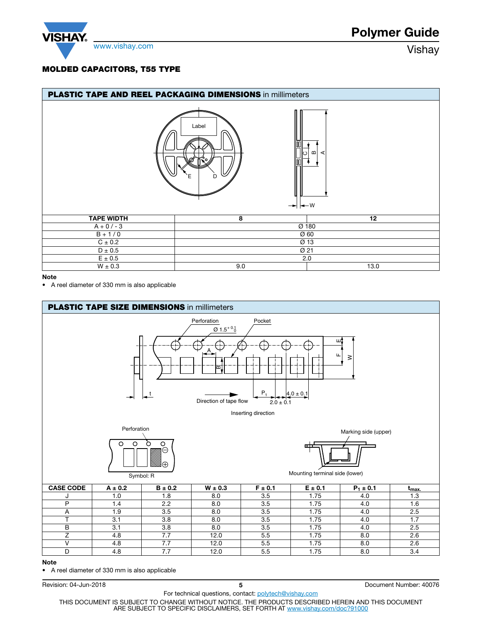

# MOLDED CAPACITORS, T55 TYPE

| <b>PLASTIC TAPE AND REEL PACKAGING DIMENSIONS in millimeters</b> |                                             |                            |
|------------------------------------------------------------------|---------------------------------------------|----------------------------|
|                                                                  | Label<br>D<br>$\rightarrow$ $\rightarrow$ W | $\omega$<br>lΙo<br>⋖       |
| <b>TAPE WIDTH</b>                                                | 8                                           | 12                         |
| $A + 0/-3$                                                       |                                             | $\overline{\emptyset}$ 180 |
| $B + 1/0$                                                        |                                             | Ø 60                       |
| $C \pm 0.2$                                                      |                                             | Ø 13                       |
| $D \pm 0.5$                                                      |                                             | Ø 21                       |
| $E \pm 0.5$                                                      |                                             | 2.0                        |
| $W \pm 0.3$                                                      | 9.0                                         | 13.0                       |

## Note

• A reel diameter of 330 mm is also applicable



#### Note

• A reel diameter of 330 mm is also applicable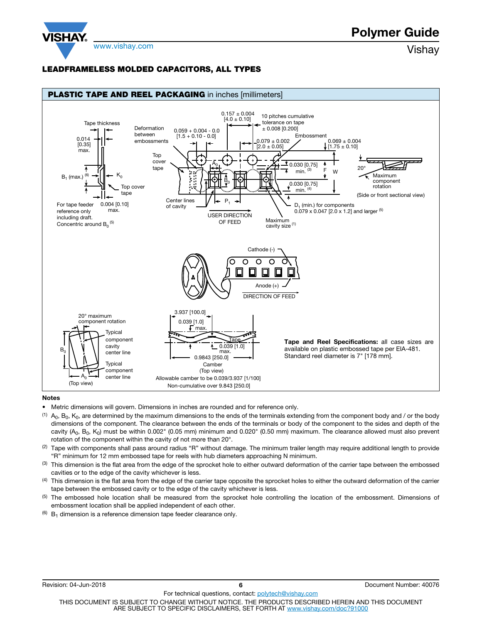

## LEADFRAMELESS MOLDED CAPACITORS, ALL TYPES



#### Notes

- Metric dimensions will govern. Dimensions in inches are rounded and for reference only.
- (1)  $A_0$ ,  $B_0$ ,  $K_0$ , are determined by the maximum dimensions to the ends of the terminals extending from the component body and / or the body dimensions of the component. The clearance between the ends of the terminals or body of the component to the sides and depth of the cavity  $(A_0, B_0, K_0)$  must be within 0.002" (0.05 mm) minimum and 0.020" (0.50 mm) maximum. The clearance allowed must also prevent rotation of the component within the cavity of not more than 20°.
- $(2)$  Tape with components shall pass around radius "R" without damage. The minimum trailer length may require additional length to provide "R" minimum for 12 mm embossed tape for reels with hub diameters approaching N minimum.
- $<sup>(3)</sup>$  This dimension is the flat area from the edge of the sprocket hole to either outward deformation of the carrier tape between the embossed</sup> cavities or to the edge of the cavity whichever is less.
- (4) This dimension is the flat area from the edge of the carrier tape opposite the sprocket holes to either the outward deformation of the carrier tape between the embossed cavity or to the edge of the cavity whichever is less.
- <sup>(5)</sup> The embossed hole location shall be measured from the sprocket hole controlling the location of the embossment. Dimensions of embossment location shall be applied independent of each other.
- $(6)$  B<sub>1</sub> dimension is a reference dimension tape feeder clearance only.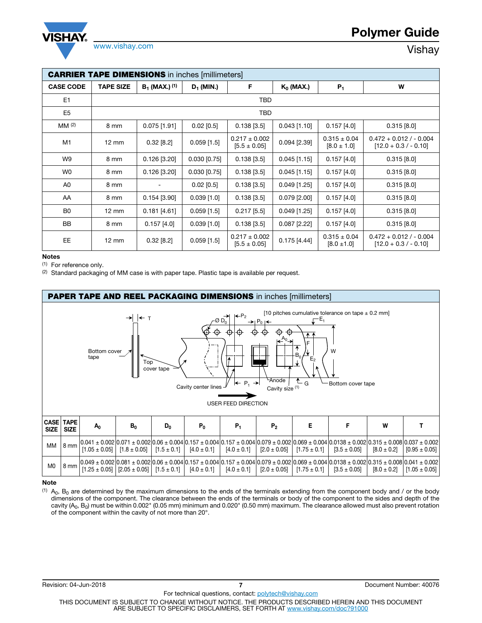

| <b>CARRIER TAPE DIMENSIONS</b> in inches [millimeters] |                   |                    |                |                                       |                |                                     |                                                      |
|--------------------------------------------------------|-------------------|--------------------|----------------|---------------------------------------|----------------|-------------------------------------|------------------------------------------------------|
| <b>CASE CODE</b>                                       | <b>TAPE SIZE</b>  | $B_1$ (MAX.) $(1)$ | $D_1$ (MIN.)   | F                                     | $K_0$ (MAX.)   | $P_1$                               | W                                                    |
| E <sub>1</sub>                                         |                   |                    |                | TBD                                   |                |                                     |                                                      |
| E <sub>5</sub>                                         |                   |                    |                | <b>TBD</b>                            |                |                                     |                                                      |
| MM <sup>(2)</sup>                                      | 8 mm              | $0.075$ [1.91]     | $0.02$ [0.5]   | $0.138$ [3.5]                         | $0.043$ [1.10] | $0.157$ [4.0]                       | $0.315$ [8.0]                                        |
| M1                                                     | $12 \, \text{mm}$ | $0.32$ [8.2]       | $0.059$ [1.5]  | $0.217 \pm 0.002$<br>$[5.5 \pm 0.05]$ | $0.094$ [2.39] | $0.315 \pm 0.04$<br>$[8.0 \pm 1.0]$ | $0.472 + 0.012 / - 0.004$<br>$[12.0 + 0.3 / - 0.10]$ |
| W9                                                     | 8 mm              | $0.126$ [3.20]     | $0.030$ [0.75] | $0.138$ [3.5]                         | $0.045$ [1.15] | $0.157$ [4.0]                       | $0.315$ [8.0]                                        |
| W <sub>0</sub>                                         | 8 mm              | $0.126$ [3.20]     | $0.030$ [0.75] | $0.138$ [3.5]                         | $0.045$ [1.15] | 0.157[4.0]                          | $0.315$ [8.0]                                        |
| A0                                                     | 8 mm              | ٠                  | $0.02$ [0.5]   | $0.138$ [3.5]                         | $0.049$ [1.25] | $0.157$ [4.0]                       | $0.315$ [8.0]                                        |
| AA                                                     | 8 mm              | $0.154$ [3.90]     | $0.039$ [1.0]  | $0.138$ [3.5]                         | $0.079$ [2.00] | $0.157$ [4.0]                       | $0.315$ [8.0]                                        |
| B <sub>0</sub>                                         | $12 \, \text{mm}$ | $0.181$ [4.61]     | $0.059$ [1.5]  | $0.217$ [5.5]                         | $0.049$ [1.25] | $0.157$ [4.0]                       | $0.315$ [8.0]                                        |
| <b>BB</b>                                              | 8 mm              | $0.157$ [4.0]      | $0.039$ [1.0]  | $0.138$ [3.5]                         | $0.087$ [2.22] | $0.157$ [4.0]                       | $0.315$ [8.0]                                        |
| EE.                                                    | $12 \, \text{mm}$ | $0.32$ [8.2]       | $0.059$ [1.5]  | $0.217 \pm 0.002$<br>$[5.5 \pm 0.05]$ | 0.175[4.44]    | $0.315 \pm 0.04$<br>$[8.0 \pm 1.0]$ | $0.472 + 0.012 / - 0.004$<br>$[12.0 + 0.3 / - 0.10]$ |

#### Notes

(1) For reference only.

 $(2)$  Standard packaging of MM case is with paper tape. Plastic tape is available per request.



### Note

 $<sup>(1)</sup>$  A<sub>0</sub>, B<sub>0</sub> are determined by the maximum dimensions to the ends of the terminals extending from the component body and / or the body</sup> dimensions of the component. The clearance between the ends of the terminals or body of the component to the sides and depth of the cavity (A<sub>0</sub>, B<sub>0</sub>) must be within 0.002" (0.05 mm) minimum and 0.020" (0.50 mm) maximum. The clearance allowed must also prevent rotation of the component within the cavity of not more than 20°.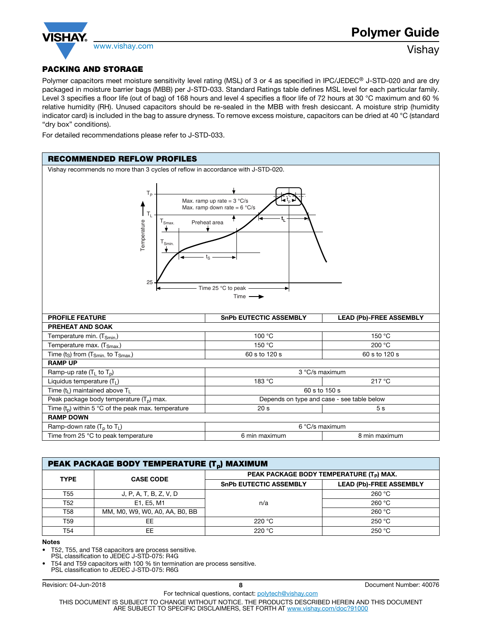

# PACKING AND STORAGE

Polymer capacitors meet moisture sensitivity level rating (MSL) of 3 or 4 as specified in IPC/JEDEC<sup>®</sup> J-STD-020 and are dry packaged in moisture barrier bags (MBB) per J-STD-033. Standard Ratings table defines MSL level for each particular family. Level 3 specifies a floor life (out of bag) of 168 hours and level 4 specifies a floor life of 72 hours at 30 °C maximum and 60 % relative humidity (RH). Unused capacitors should be re-sealed in the MBB with fresh desiccant. A moisture strip (humidity indicator card) is included in the bag to assure dryness. To remove excess moisture, capacitors can be dried at 40 °C (standard "dry box" conditions).

For detailed recommendations please refer to J-STD-033.



| PEAK PACKAGE BODY TEMPERATURE (T <sub>D</sub> ) MAXIMUM |                                |                                                      |                                |  |
|---------------------------------------------------------|--------------------------------|------------------------------------------------------|--------------------------------|--|
| <b>TYPE</b>                                             | <b>CASE CODE</b>               | PEAK PACKAGE BODY TEMPERATURE (T <sub>P</sub> ) MAX. |                                |  |
|                                                         |                                | <b>SnPb EUTECTIC ASSEMBLY</b>                        | <b>LEAD (Pb)-FREE ASSEMBLY</b> |  |
| T55                                                     | J, P, A, T, B, Z, V, D         |                                                      | 260 $°C$                       |  |
| T52                                                     | E1, E5, M1                     | n/a                                                  | 260 $°C$                       |  |
| T58                                                     | MM, M0, W9, W0, A0, AA, B0, BB |                                                      | 260 °C                         |  |
| T59                                                     | EE                             | 220 $^{\circ}$ C                                     | 250 °C                         |  |
| T54                                                     | EE                             | 220 $^{\circ}$ C                                     | 250 °C                         |  |

#### Notes

• T52, T55, and T58 capacitors are process sensitive.

PSL classification to JEDEC J-STD-075: R4G

• T54 and T59 capacitors with 100 % tin termination are process sensitive. PSL classification to JEDEC J-STD-075: R6G

Revision: 04-Jun-2018 **8 8 8 1 8 8 1 8 Document Number: 40076 8**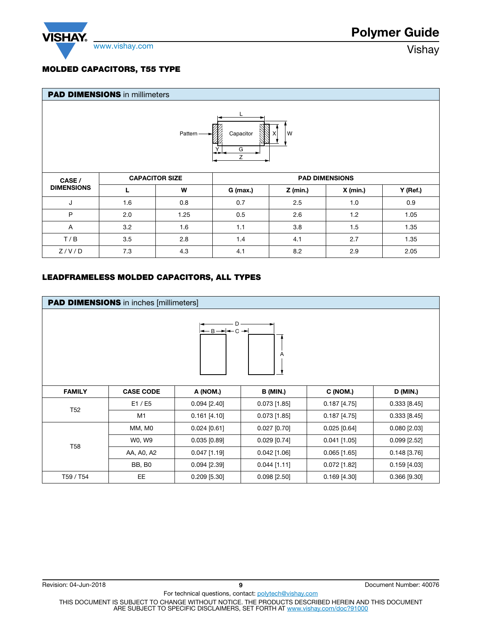

# MOLDED CAPACITORS, T55 TYPE

| <b>PAD DIMENSIONS</b> in millimeters     |                                                |      |          |                 |            |            |
|------------------------------------------|------------------------------------------------|------|----------|-----------------|------------|------------|
| W<br>Capacitor<br>Pattern<br>х<br>G<br>Ζ |                                                |      |          |                 |            |            |
| CASE /                                   | <b>CAPACITOR SIZE</b><br><b>PAD DIMENSIONS</b> |      |          |                 |            |            |
| <b>DIMENSIONS</b>                        |                                                | W    | G (max.) | <b>Z</b> (min.) | $X$ (min.) | $Y$ (Ref.) |
| J                                        | 1.6                                            | 0.8  | 0.7      | 2.5             | 1.0        | 0.9        |
| P                                        | 2.0                                            | 1.25 | 0.5      | 2.6             | 1.2        | 1.05       |
| Α                                        | 3.2                                            | 1.6  | 1.1      | 3.8             | 1.5        | 1.35       |
| T/B                                      | 3.5                                            | 2.8  | 1.4      | 4.1             | 2.7        | 1.35       |
| Z/V/D                                    | 7.3                                            | 4.3  | 4.1      | 8.2             | 2.9        | 2.05       |

## LEADFRAMELESS MOLDED CAPACITORS, ALL TYPES

|               | <b>PAD DIMENSIONS</b> in inches [millimeters] |                |                 |                |                    |
|---------------|-----------------------------------------------|----------------|-----------------|----------------|--------------------|
|               |                                               | ←B→F←C→F       | A               |                |                    |
| <b>FAMILY</b> | <b>CASE CODE</b>                              | A (NOM.)       | <b>B</b> (MIN.) | C (NOM.)       | D (MIN.)           |
|               | E1 / E5                                       | $0.094$ [2.40] | $0.073$ [1.85]  | $0.187$ [4.75] | 0.333 [8.45]       |
| <b>T52</b>    | M1                                            | $0.161$ [4.10] | $0.073$ [1.85]  | $0.187$ [4.75] | $0.333$ [8.45]     |
|               | MM, M0                                        | $0.024$ [0.61] | $0.027$ [0.70]  | $0.025$ [0.64] | $0.080$ [2.03]     |
| <b>T58</b>    | W0, W9                                        | $0.035$ [0.89] | $0.029$ [0.74]  | $0.041$ [1.05] | $0.099$ [2.52]     |
|               | AA, A0, A2                                    | $0.047$ [1.19] | $0.042$ [1.06]  | $0.065$ [1.65] | $0.148$ [3.76]     |
|               | <b>BB, B0</b>                                 | $0.094$ [2.39] | $0.044$ [1.11]  | $0.072$ [1.82] | $0.159$ [4.03]     |
| T59 / T54     | EE                                            | $0.209$ [5.30] | $0.098$ [2.50]  | $0.169$ [4.30] | $0.366$ [ $9.30$ ] |